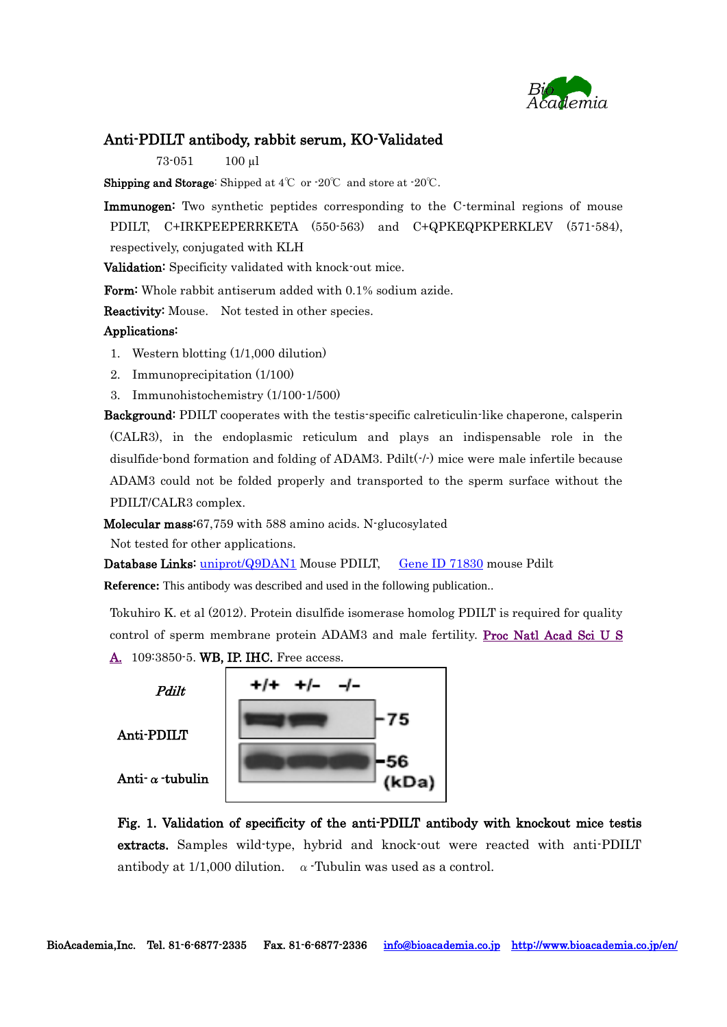

### Anti-PDILT antibody, rabbit serum, KO-Validated

73-051 100 µl

Shipping and Storage: Shipped at 4℃ or -20℃ and store at -20℃.

Immunogen: Two synthetic peptides corresponding to the C-terminal regions of mouse PDILT, C+IRKPEEPERRKETA (550-563) and C+QPKEQPKPERKLEV (571-584), respectively, conjugated with KLH

Validation: Specificity validated with knock-out mice.

Form: Whole rabbit antiserum added with 0.1% sodium azide.

Reactivity: Mouse. Not tested in other species.

#### Applications:

- 1. Western blotting (1/1,000 dilution)
- 2. Immunoprecipitation (1/100)
- 3. Immunohistochemistry (1/100-1/500)

Background: PDILT cooperates with the testis-specific calreticulin-like chaperone, calsperin (CALR3), in the endoplasmic reticulum and plays an indispensable role in the disulfide-bond formation and folding of ADAM3. Pdilt(-/-) mice were male infertile because ADAM3 could not be folded properly and transported to the sperm surface without the PDILT/CALR3 complex.

Molecular mass:67,759 with 588 amino acids. N-glucosylated

Not tested for other applications.

Database Links: [uniprot/Q9DAN1](http://www.uniprot.org/uniprot/Q9DAN1) Mouse PDILT, [Gene ID 71830](http://www.ncbi.nlm.nih.gov/gene/71830) mouse Pdilt

**Reference:** This antibody was described and used in the following publication..

Tokuhiro K. et al (2012). Protein disulfide isomerase homolog PDILT is required for quality control of sperm membrane protein ADAM3 and male fertility. Proc Natl Acad Sci U S [A.](http://www.ncbi.nlm.nih.gov/pubmed/22357757) 109:3850-5. WB, IP. IHC. Free access.

Pdilt Anti-PDILT

Anti-α-tubulin

Fig. 1. Validation of specificity of the anti-PDILT antibody with knockout mice testis extracts. Samples wild-type, hybrid and knock-out were reacted with anti-PDILT antibody at  $1/1,000$  dilution.  $\alpha$  Tubulin was used as a control.

75

(kDa)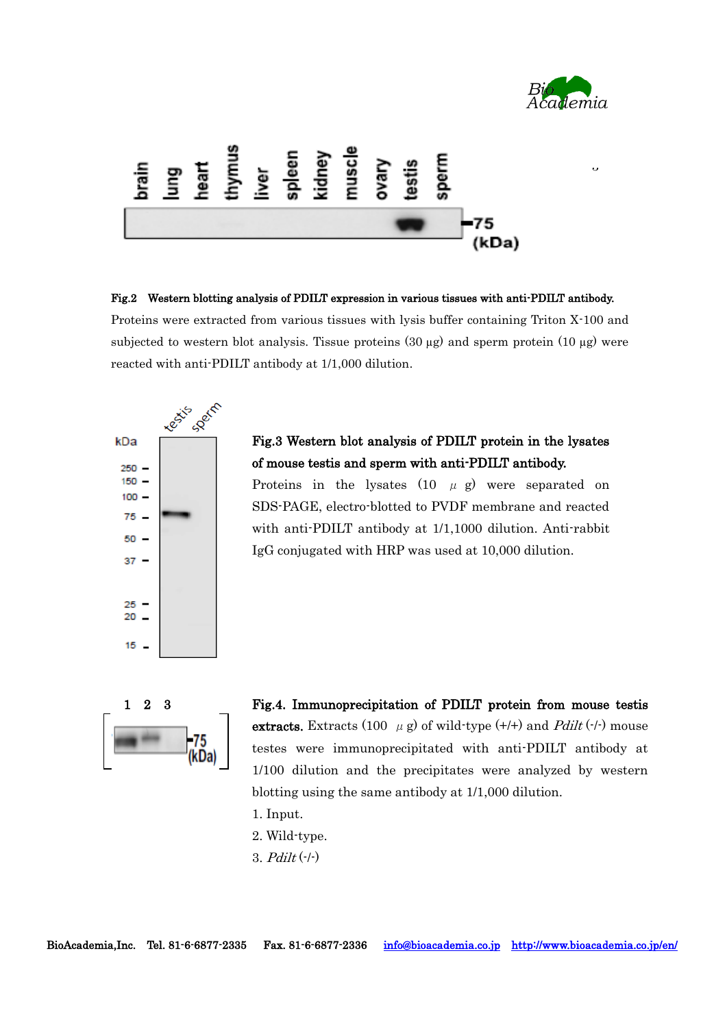

 $\overline{a}$ 



Fig.2 Western blotting analysis of PDILT expression in various tissues with anti-PDILT antibody. Proteins were extracted from various tissues with lysis buffer containing Triton X-100 and subjected to western blot analysis. Tissue proteins  $(30 \mu g)$  and sperm protein  $(10 \mu g)$  were reacted with anti-PDILT antibody at 1/1,000 dilution.



# Fig.3 Western blot analysis of PDILT protein in the lysates of mouse testis and sperm with anti-PDILT antibody.

Proteins in the lysates  $(10 \mu g)$  were separated on SDS-PAGE, electro-blotted to PVDF membrane and reacted with anti-PDILT antibody at 1/1,1000 dilution. Anti-rabbit IgG conjugated with HRP was used at 10,000 dilution.



Fig.4. Immunoprecipitation of PDILT protein from mouse testis extracts. Extracts (100  $\mu$  g) of wild-type (+/+) and *Pdilt* (-/-) mouse testes were immunoprecipitated with anti-PDILT antibody at 1/100 dilution and the precipitates were analyzed by western blotting using the same antibody at 1/1,000 dilution.

- 1. Input.
- 2. Wild-type.
- 3.  $Pdilt$  (- $\left( -\right)$ )